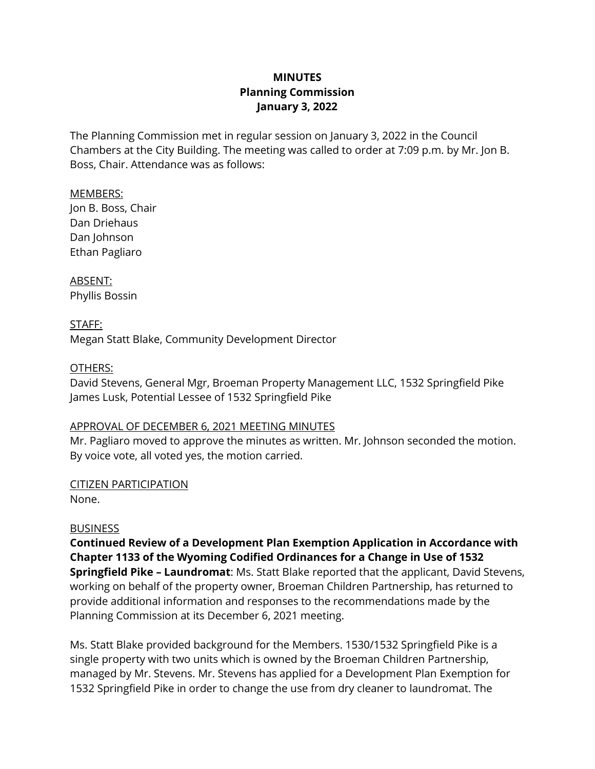# **MINUTES Planning Commission January 3, 2022**

The Planning Commission met in regular session on January 3, 2022 in the Council Chambers at the City Building. The meeting was called to order at 7:09 p.m. by Mr. Jon B. Boss, Chair. Attendance was as follows:

MEMBERS: Jon B. Boss, Chair Dan Driehaus Dan Johnson Ethan Pagliaro

ABSENT: Phyllis Bossin

STAFF: Megan Statt Blake, Community Development Director

### OTHERS:

David Stevens, General Mgr, Broeman Property Management LLC, 1532 Springfield Pike James Lusk, Potential Lessee of 1532 Springfield Pike

### APPROVAL OF DECEMBER 6, 2021 MEETING MINUTES

Mr. Pagliaro moved to approve the minutes as written. Mr. Johnson seconded the motion. By voice vote, all voted yes, the motion carried.

### CITIZEN PARTICIPATION

None.

# **BUSINESS**

**Continued Review of a Development Plan Exemption Application in Accordance with Chapter 1133 of the Wyoming Codified Ordinances for a Change in Use of 1532 Springfield Pike – Laundromat**: Ms. Statt Blake reported that the applicant, David Stevens, working on behalf of the property owner, Broeman Children Partnership, has returned to provide additional information and responses to the recommendations made by the Planning Commission at its December 6, 2021 meeting.

Ms. Statt Blake provided background for the Members. 1530/1532 Springfield Pike is a single property with two units which is owned by the Broeman Children Partnership, managed by Mr. Stevens. Mr. Stevens has applied for a Development Plan Exemption for 1532 Springfield Pike in order to change the use from dry cleaner to laundromat. The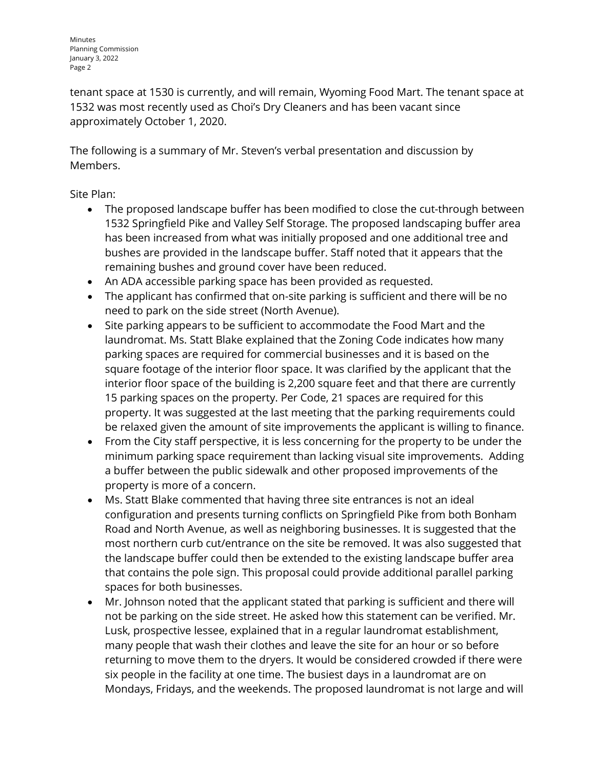tenant space at 1530 is currently, and will remain, Wyoming Food Mart. The tenant space at 1532 was most recently used as Choi's Dry Cleaners and has been vacant since approximately October 1, 2020.

The following is a summary of Mr. Steven's verbal presentation and discussion by Members.

Site Plan:

- The proposed landscape buffer has been modified to close the cut-through between 1532 Springfield Pike and Valley Self Storage. The proposed landscaping buffer area has been increased from what was initially proposed and one additional tree and bushes are provided in the landscape buffer. Staff noted that it appears that the remaining bushes and ground cover have been reduced.
- An ADA accessible parking space has been provided as requested.
- The applicant has confirmed that on-site parking is sufficient and there will be no need to park on the side street (North Avenue).
- Site parking appears to be sufficient to accommodate the Food Mart and the laundromat. Ms. Statt Blake explained that the Zoning Code indicates how many parking spaces are required for commercial businesses and it is based on the square footage of the interior floor space. It was clarified by the applicant that the interior floor space of the building is 2,200 square feet and that there are currently 15 parking spaces on the property. Per Code, 21 spaces are required for this property. It was suggested at the last meeting that the parking requirements could be relaxed given the amount of site improvements the applicant is willing to finance.
- From the City staff perspective, it is less concerning for the property to be under the minimum parking space requirement than lacking visual site improvements. Adding a buffer between the public sidewalk and other proposed improvements of the property is more of a concern.
- Ms. Statt Blake commented that having three site entrances is not an ideal configuration and presents turning conflicts on Springfield Pike from both Bonham Road and North Avenue, as well as neighboring businesses. It is suggested that the most northern curb cut/entrance on the site be removed. It was also suggested that the landscape buffer could then be extended to the existing landscape buffer area that contains the pole sign. This proposal could provide additional parallel parking spaces for both businesses.
- Mr. Johnson noted that the applicant stated that parking is sufficient and there will not be parking on the side street. He asked how this statement can be verified. Mr. Lusk, prospective lessee, explained that in a regular laundromat establishment, many people that wash their clothes and leave the site for an hour or so before returning to move them to the dryers. It would be considered crowded if there were six people in the facility at one time. The busiest days in a laundromat are on Mondays, Fridays, and the weekends. The proposed laundromat is not large and will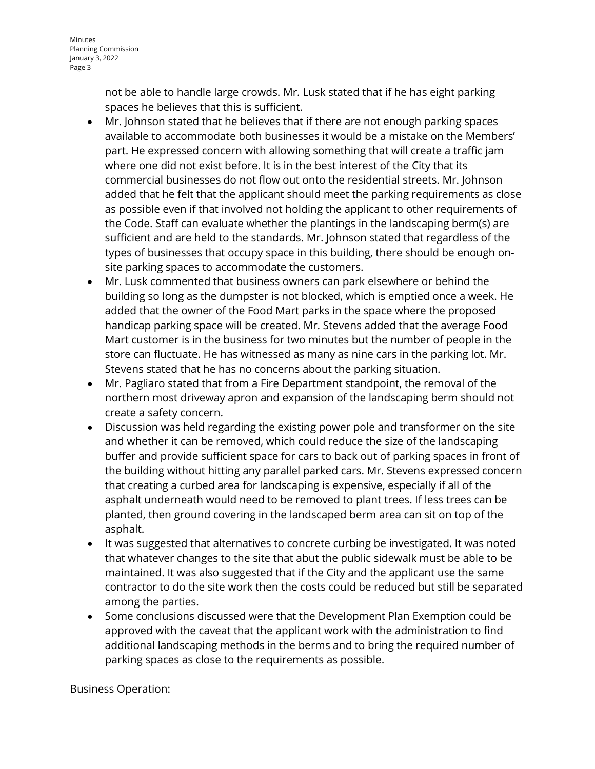not be able to handle large crowds. Mr. Lusk stated that if he has eight parking spaces he believes that this is sufficient.

- Mr. Johnson stated that he believes that if there are not enough parking spaces available to accommodate both businesses it would be a mistake on the Members' part. He expressed concern with allowing something that will create a traffic jam where one did not exist before. It is in the best interest of the City that its commercial businesses do not flow out onto the residential streets. Mr. Johnson added that he felt that the applicant should meet the parking requirements as close as possible even if that involved not holding the applicant to other requirements of the Code. Staff can evaluate whether the plantings in the landscaping berm(s) are sufficient and are held to the standards. Mr. Johnson stated that regardless of the types of businesses that occupy space in this building, there should be enough onsite parking spaces to accommodate the customers.
- Mr. Lusk commented that business owners can park elsewhere or behind the building so long as the dumpster is not blocked, which is emptied once a week. He added that the owner of the Food Mart parks in the space where the proposed handicap parking space will be created. Mr. Stevens added that the average Food Mart customer is in the business for two minutes but the number of people in the store can fluctuate. He has witnessed as many as nine cars in the parking lot. Mr. Stevens stated that he has no concerns about the parking situation.
- Mr. Pagliaro stated that from a Fire Department standpoint, the removal of the northern most driveway apron and expansion of the landscaping berm should not create a safety concern.
- Discussion was held regarding the existing power pole and transformer on the site and whether it can be removed, which could reduce the size of the landscaping buffer and provide sufficient space for cars to back out of parking spaces in front of the building without hitting any parallel parked cars. Mr. Stevens expressed concern that creating a curbed area for landscaping is expensive, especially if all of the asphalt underneath would need to be removed to plant trees. If less trees can be planted, then ground covering in the landscaped berm area can sit on top of the asphalt.
- It was suggested that alternatives to concrete curbing be investigated. It was noted that whatever changes to the site that abut the public sidewalk must be able to be maintained. It was also suggested that if the City and the applicant use the same contractor to do the site work then the costs could be reduced but still be separated among the parties.
- Some conclusions discussed were that the Development Plan Exemption could be approved with the caveat that the applicant work with the administration to find additional landscaping methods in the berms and to bring the required number of parking spaces as close to the requirements as possible.

Business Operation: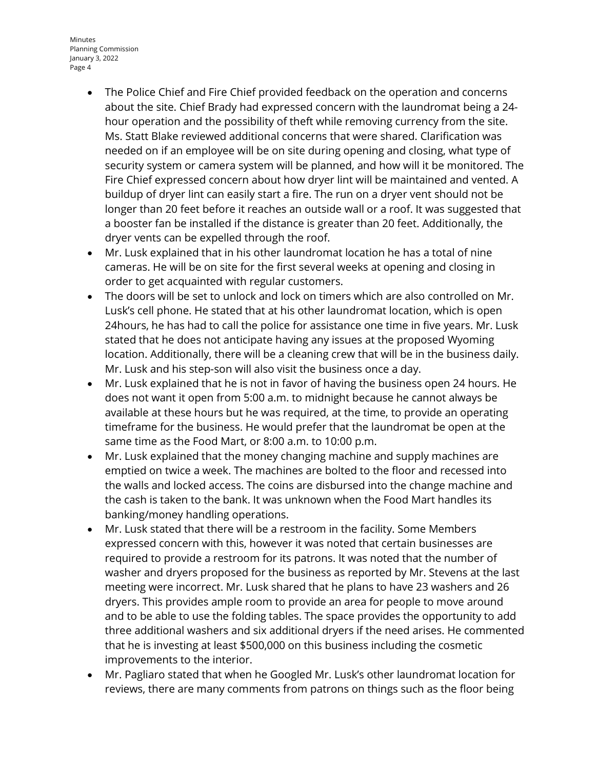Minutes Planning Commission January 3, 2022 Page 4

- The Police Chief and Fire Chief provided feedback on the operation and concerns about the site. Chief Brady had expressed concern with the laundromat being a 24 hour operation and the possibility of theft while removing currency from the site. Ms. Statt Blake reviewed additional concerns that were shared. Clarification was needed on if an employee will be on site during opening and closing, what type of security system or camera system will be planned, and how will it be monitored. The Fire Chief expressed concern about how dryer lint will be maintained and vented. A buildup of dryer lint can easily start a fire. The run on a dryer vent should not be longer than 20 feet before it reaches an outside wall or a roof. It was suggested that a booster fan be installed if the distance is greater than 20 feet. Additionally, the dryer vents can be expelled through the roof.
- Mr. Lusk explained that in his other laundromat location he has a total of nine cameras. He will be on site for the first several weeks at opening and closing in order to get acquainted with regular customers.
- The doors will be set to unlock and lock on timers which are also controlled on Mr. Lusk's cell phone. He stated that at his other laundromat location, which is open 24hours, he has had to call the police for assistance one time in five years. Mr. Lusk stated that he does not anticipate having any issues at the proposed Wyoming location. Additionally, there will be a cleaning crew that will be in the business daily. Mr. Lusk and his step-son will also visit the business once a day.
- Mr. Lusk explained that he is not in favor of having the business open 24 hours. He does not want it open from 5:00 a.m. to midnight because he cannot always be available at these hours but he was required, at the time, to provide an operating timeframe for the business. He would prefer that the laundromat be open at the same time as the Food Mart, or 8:00 a.m. to 10:00 p.m.
- Mr. Lusk explained that the money changing machine and supply machines are emptied on twice a week. The machines are bolted to the floor and recessed into the walls and locked access. The coins are disbursed into the change machine and the cash is taken to the bank. It was unknown when the Food Mart handles its banking/money handling operations.
- Mr. Lusk stated that there will be a restroom in the facility. Some Members expressed concern with this, however it was noted that certain businesses are required to provide a restroom for its patrons. It was noted that the number of washer and dryers proposed for the business as reported by Mr. Stevens at the last meeting were incorrect. Mr. Lusk shared that he plans to have 23 washers and 26 dryers. This provides ample room to provide an area for people to move around and to be able to use the folding tables. The space provides the opportunity to add three additional washers and six additional dryers if the need arises. He commented that he is investing at least \$500,000 on this business including the cosmetic improvements to the interior.
- Mr. Pagliaro stated that when he Googled Mr. Lusk's other laundromat location for reviews, there are many comments from patrons on things such as the floor being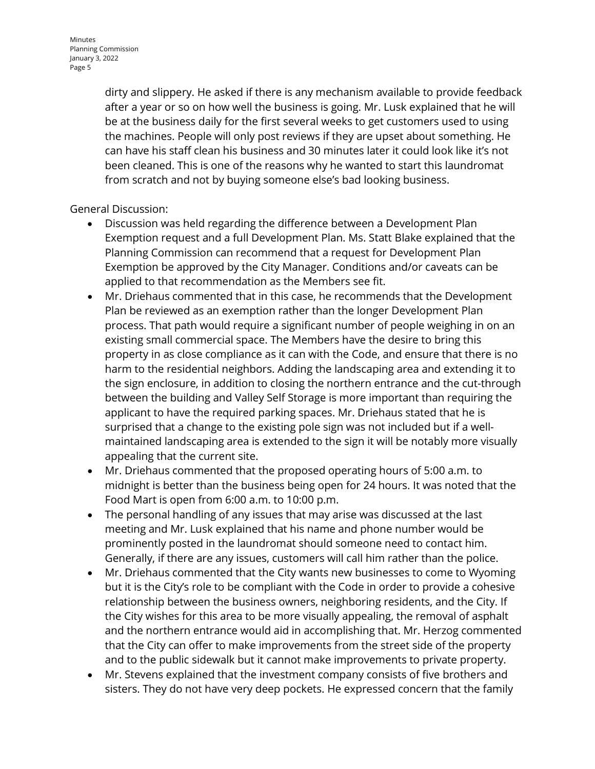dirty and slippery. He asked if there is any mechanism available to provide feedback after a year or so on how well the business is going. Mr. Lusk explained that he will be at the business daily for the first several weeks to get customers used to using the machines. People will only post reviews if they are upset about something. He can have his staff clean his business and 30 minutes later it could look like it's not been cleaned. This is one of the reasons why he wanted to start this laundromat from scratch and not by buying someone else's bad looking business.

# General Discussion:

- Discussion was held regarding the difference between a Development Plan Exemption request and a full Development Plan. Ms. Statt Blake explained that the Planning Commission can recommend that a request for Development Plan Exemption be approved by the City Manager. Conditions and/or caveats can be applied to that recommendation as the Members see fit.
- Mr. Driehaus commented that in this case, he recommends that the Development Plan be reviewed as an exemption rather than the longer Development Plan process. That path would require a significant number of people weighing in on an existing small commercial space. The Members have the desire to bring this property in as close compliance as it can with the Code, and ensure that there is no harm to the residential neighbors. Adding the landscaping area and extending it to the sign enclosure, in addition to closing the northern entrance and the cut-through between the building and Valley Self Storage is more important than requiring the applicant to have the required parking spaces. Mr. Driehaus stated that he is surprised that a change to the existing pole sign was not included but if a wellmaintained landscaping area is extended to the sign it will be notably more visually appealing that the current site.
- Mr. Driehaus commented that the proposed operating hours of 5:00 a.m. to midnight is better than the business being open for 24 hours. It was noted that the Food Mart is open from 6:00 a.m. to 10:00 p.m.
- The personal handling of any issues that may arise was discussed at the last meeting and Mr. Lusk explained that his name and phone number would be prominently posted in the laundromat should someone need to contact him. Generally, if there are any issues, customers will call him rather than the police.
- Mr. Driehaus commented that the City wants new businesses to come to Wyoming but it is the City's role to be compliant with the Code in order to provide a cohesive relationship between the business owners, neighboring residents, and the City. If the City wishes for this area to be more visually appealing, the removal of asphalt and the northern entrance would aid in accomplishing that. Mr. Herzog commented that the City can offer to make improvements from the street side of the property and to the public sidewalk but it cannot make improvements to private property.
- Mr. Stevens explained that the investment company consists of five brothers and sisters. They do not have very deep pockets. He expressed concern that the family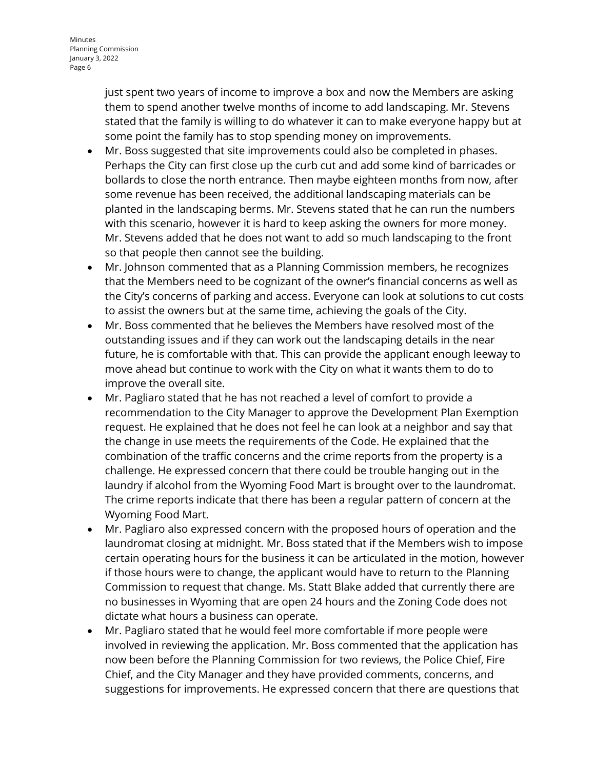just spent two years of income to improve a box and now the Members are asking them to spend another twelve months of income to add landscaping. Mr. Stevens stated that the family is willing to do whatever it can to make everyone happy but at some point the family has to stop spending money on improvements.

- Mr. Boss suggested that site improvements could also be completed in phases. Perhaps the City can first close up the curb cut and add some kind of barricades or bollards to close the north entrance. Then maybe eighteen months from now, after some revenue has been received, the additional landscaping materials can be planted in the landscaping berms. Mr. Stevens stated that he can run the numbers with this scenario, however it is hard to keep asking the owners for more money. Mr. Stevens added that he does not want to add so much landscaping to the front so that people then cannot see the building.
- Mr. Johnson commented that as a Planning Commission members, he recognizes that the Members need to be cognizant of the owner's financial concerns as well as the City's concerns of parking and access. Everyone can look at solutions to cut costs to assist the owners but at the same time, achieving the goals of the City.
- Mr. Boss commented that he believes the Members have resolved most of the outstanding issues and if they can work out the landscaping details in the near future, he is comfortable with that. This can provide the applicant enough leeway to move ahead but continue to work with the City on what it wants them to do to improve the overall site.
- Mr. Pagliaro stated that he has not reached a level of comfort to provide a recommendation to the City Manager to approve the Development Plan Exemption request. He explained that he does not feel he can look at a neighbor and say that the change in use meets the requirements of the Code. He explained that the combination of the traffic concerns and the crime reports from the property is a challenge. He expressed concern that there could be trouble hanging out in the laundry if alcohol from the Wyoming Food Mart is brought over to the laundromat. The crime reports indicate that there has been a regular pattern of concern at the Wyoming Food Mart.
- Mr. Pagliaro also expressed concern with the proposed hours of operation and the laundromat closing at midnight. Mr. Boss stated that if the Members wish to impose certain operating hours for the business it can be articulated in the motion, however if those hours were to change, the applicant would have to return to the Planning Commission to request that change. Ms. Statt Blake added that currently there are no businesses in Wyoming that are open 24 hours and the Zoning Code does not dictate what hours a business can operate.
- Mr. Pagliaro stated that he would feel more comfortable if more people were involved in reviewing the application. Mr. Boss commented that the application has now been before the Planning Commission for two reviews, the Police Chief, Fire Chief, and the City Manager and they have provided comments, concerns, and suggestions for improvements. He expressed concern that there are questions that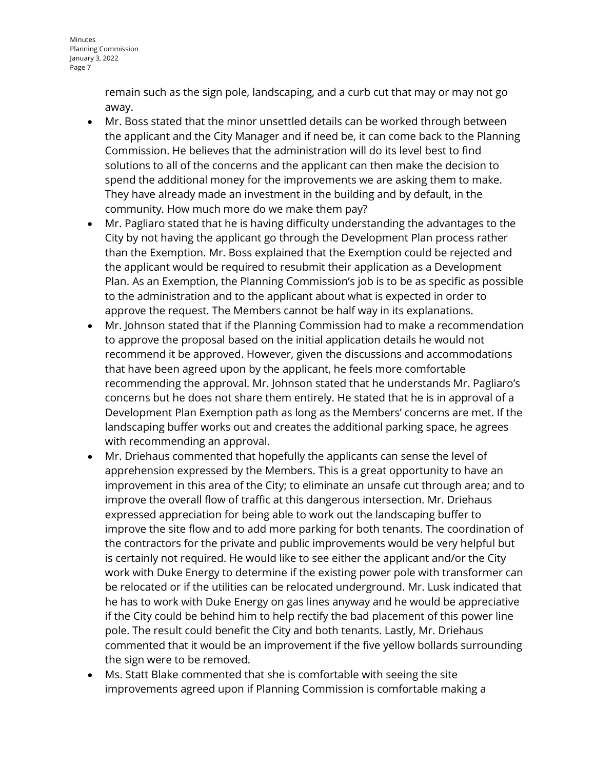remain such as the sign pole, landscaping, and a curb cut that may or may not go away.

- Mr. Boss stated that the minor unsettled details can be worked through between the applicant and the City Manager and if need be, it can come back to the Planning Commission. He believes that the administration will do its level best to find solutions to all of the concerns and the applicant can then make the decision to spend the additional money for the improvements we are asking them to make. They have already made an investment in the building and by default, in the community. How much more do we make them pay?
- Mr. Pagliaro stated that he is having difficulty understanding the advantages to the City by not having the applicant go through the Development Plan process rather than the Exemption. Mr. Boss explained that the Exemption could be rejected and the applicant would be required to resubmit their application as a Development Plan. As an Exemption, the Planning Commission's job is to be as specific as possible to the administration and to the applicant about what is expected in order to approve the request. The Members cannot be half way in its explanations.
- Mr. Johnson stated that if the Planning Commission had to make a recommendation to approve the proposal based on the initial application details he would not recommend it be approved. However, given the discussions and accommodations that have been agreed upon by the applicant, he feels more comfortable recommending the approval. Mr. Johnson stated that he understands Mr. Pagliaro's concerns but he does not share them entirely. He stated that he is in approval of a Development Plan Exemption path as long as the Members' concerns are met. If the landscaping buffer works out and creates the additional parking space, he agrees with recommending an approval.
- Mr. Driehaus commented that hopefully the applicants can sense the level of apprehension expressed by the Members. This is a great opportunity to have an improvement in this area of the City; to eliminate an unsafe cut through area; and to improve the overall flow of traffic at this dangerous intersection. Mr. Driehaus expressed appreciation for being able to work out the landscaping buffer to improve the site flow and to add more parking for both tenants. The coordination of the contractors for the private and public improvements would be very helpful but is certainly not required. He would like to see either the applicant and/or the City work with Duke Energy to determine if the existing power pole with transformer can be relocated or if the utilities can be relocated underground. Mr. Lusk indicated that he has to work with Duke Energy on gas lines anyway and he would be appreciative if the City could be behind him to help rectify the bad placement of this power line pole. The result could benefit the City and both tenants. Lastly, Mr. Driehaus commented that it would be an improvement if the five yellow bollards surrounding the sign were to be removed.
- Ms. Statt Blake commented that she is comfortable with seeing the site improvements agreed upon if Planning Commission is comfortable making a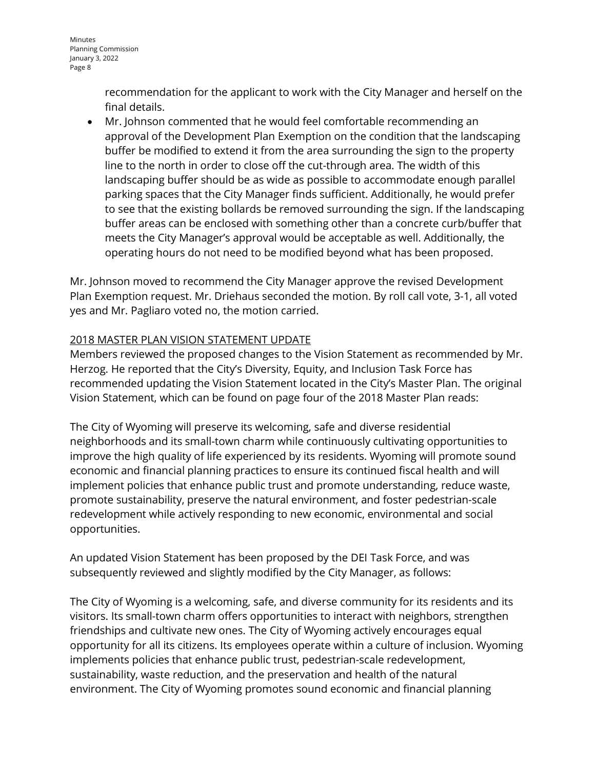recommendation for the applicant to work with the City Manager and herself on the final details.

• Mr. Johnson commented that he would feel comfortable recommending an approval of the Development Plan Exemption on the condition that the landscaping buffer be modified to extend it from the area surrounding the sign to the property line to the north in order to close off the cut-through area. The width of this landscaping buffer should be as wide as possible to accommodate enough parallel parking spaces that the City Manager finds sufficient. Additionally, he would prefer to see that the existing bollards be removed surrounding the sign. If the landscaping buffer areas can be enclosed with something other than a concrete curb/buffer that meets the City Manager's approval would be acceptable as well. Additionally, the operating hours do not need to be modified beyond what has been proposed.

Mr. Johnson moved to recommend the City Manager approve the revised Development Plan Exemption request. Mr. Driehaus seconded the motion. By roll call vote, 3-1, all voted yes and Mr. Pagliaro voted no, the motion carried.

### 2018 MASTER PLAN VISION STATEMENT UPDATE

Members reviewed the proposed changes to the Vision Statement as recommended by Mr. Herzog. He reported that the City's Diversity, Equity, and Inclusion Task Force has recommended updating the Vision Statement located in the City's Master Plan. The original Vision Statement, which can be found on page four of the 2018 Master Plan reads:

The City of Wyoming will preserve its welcoming, safe and diverse residential neighborhoods and its small-town charm while continuously cultivating opportunities to improve the high quality of life experienced by its residents. Wyoming will promote sound economic and financial planning practices to ensure its continued fiscal health and will implement policies that enhance public trust and promote understanding, reduce waste, promote sustainability, preserve the natural environment, and foster pedestrian-scale redevelopment while actively responding to new economic, environmental and social opportunities.

An updated Vision Statement has been proposed by the DEI Task Force, and was subsequently reviewed and slightly modified by the City Manager, as follows:

The City of Wyoming is a welcoming, safe, and diverse community for its residents and its visitors. Its small-town charm offers opportunities to interact with neighbors, strengthen friendships and cultivate new ones. The City of Wyoming actively encourages equal opportunity for all its citizens. Its employees operate within a culture of inclusion. Wyoming implements policies that enhance public trust, pedestrian-scale redevelopment, sustainability, waste reduction, and the preservation and health of the natural environment. The City of Wyoming promotes sound economic and financial planning